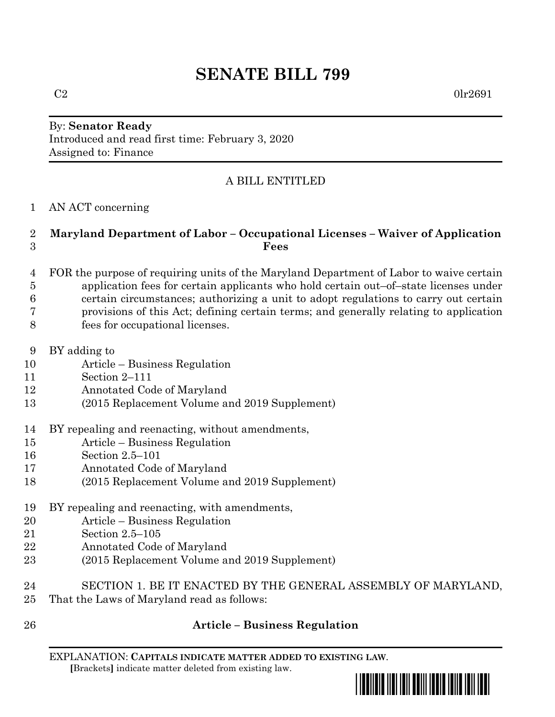# **SENATE BILL 799**

### By: **Senator Ready** Introduced and read first time: February 3, 2020 Assigned to: Finance

## A BILL ENTITLED

AN ACT concerning

#### **Maryland Department of Labor – Occupational Licenses – Waiver of Application Fees**

- FOR the purpose of requiring units of the Maryland Department of Labor to waive certain application fees for certain applicants who hold certain out–of–state licenses under certain circumstances; authorizing a unit to adopt regulations to carry out certain provisions of this Act; defining certain terms; and generally relating to application
- fees for occupational licenses.
- BY adding to
- Article Business Regulation
- Section 2–111
- Annotated Code of Maryland
- (2015 Replacement Volume and 2019 Supplement)
- BY repealing and reenacting, without amendments,
- Article Business Regulation
- Section 2.5–101
- Annotated Code of Maryland
- (2015 Replacement Volume and 2019 Supplement)
- BY repealing and reenacting, with amendments,
- Article Business Regulation
- Section 2.5–105
- Annotated Code of Maryland
- (2015 Replacement Volume and 2019 Supplement)
- SECTION 1. BE IT ENACTED BY THE GENERAL ASSEMBLY OF MARYLAND, That the Laws of Maryland read as follows:
- 

# **Article – Business Regulation**

EXPLANATION: **CAPITALS INDICATE MATTER ADDED TO EXISTING LAW**.  **[**Brackets**]** indicate matter deleted from existing law.

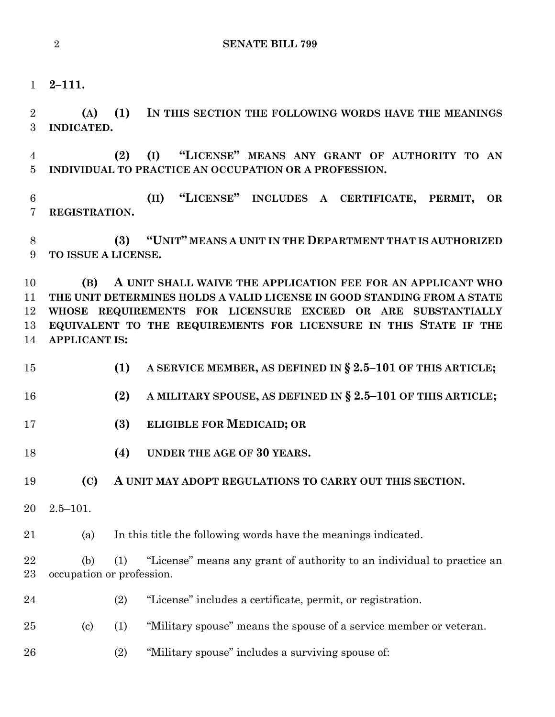**2–111.**

 **(A) (1) IN THIS SECTION THE FOLLOWING WORDS HAVE THE MEANINGS INDICATED.**

 **(2) (I) "LICENSE" MEANS ANY GRANT OF AUTHORITY TO AN INDIVIDUAL TO PRACTICE AN OCCUPATION OR A PROFESSION.**

 **(II) "LICENSE" INCLUDES A CERTIFICATE, PERMIT, OR REGISTRATION.**

 **(3) "UNIT" MEANS A UNIT IN THE DEPARTMENT THAT IS AUTHORIZED TO ISSUE A LICENSE.**

 **(B) A UNIT SHALL WAIVE THE APPLICATION FEE FOR AN APPLICANT WHO THE UNIT DETERMINES HOLDS A VALID LICENSE IN GOOD STANDING FROM A STATE WHOSE REQUIREMENTS FOR LICENSURE EXCEED OR ARE SUBSTANTIALLY EQUIVALENT TO THE REQUIREMENTS FOR LICENSURE IN THIS STATE IF THE APPLICANT IS:**

- **(1) A SERVICE MEMBER, AS DEFINED IN § 2.5–101 OF THIS ARTICLE;**
- **(2) A MILITARY SPOUSE, AS DEFINED IN § 2.5–101 OF THIS ARTICLE;**
- **(3) ELIGIBLE FOR MEDICAID; OR**
- **(4) UNDER THE AGE OF 30 YEARS.**
- **(C) A UNIT MAY ADOPT REGULATIONS TO CARRY OUT THIS SECTION.**
- 2.5–101.

(a) In this title the following words have the meanings indicated.

 (b) (1) "License" means any grant of authority to an individual to practice an occupation or profession.

- (2) "License" includes a certificate, permit, or registration.
- (c) (1) "Military spouse" means the spouse of a service member or veteran.
- (2) "Military spouse" includes a surviving spouse of: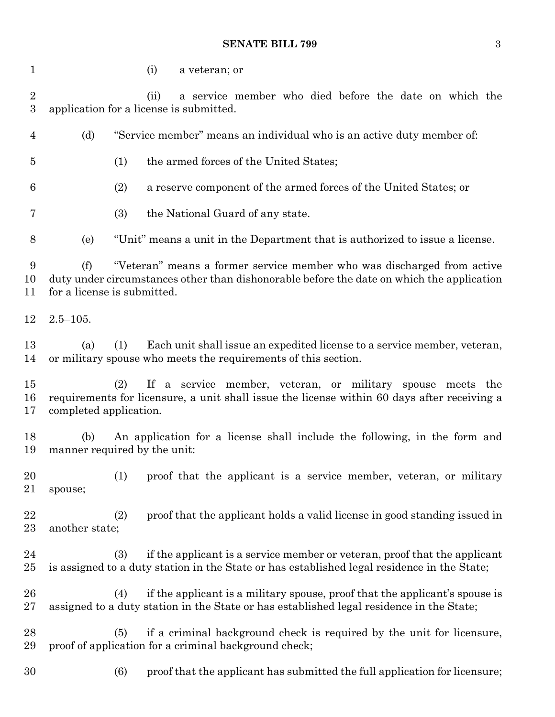#### **SENATE BILL 799** 3

 (i) a veteran; or (ii) a service member who died before the date on which the application for a license is submitted. (d) "Service member" means an individual who is an active duty member of: (1) the armed forces of the United States; (2) a reserve component of the armed forces of the United States; or (3) the National Guard of any state. (e) "Unit" means a unit in the Department that is authorized to issue a license. (f) "Veteran" means a former service member who was discharged from active duty under circumstances other than dishonorable before the date on which the application for a license is submitted. 2.5–105. (a) (1) Each unit shall issue an expedited license to a service member, veteran, or military spouse who meets the requirements of this section. (2) If a service member, veteran, or military spouse meets the requirements for licensure, a unit shall issue the license within 60 days after receiving a completed application. (b) An application for a license shall include the following, in the form and manner required by the unit: (1) proof that the applicant is a service member, veteran, or military spouse; (2) proof that the applicant holds a valid license in good standing issued in another state; (3) if the applicant is a service member or veteran, proof that the applicant is assigned to a duty station in the State or has established legal residence in the State; (4) if the applicant is a military spouse, proof that the applicant's spouse is assigned to a duty station in the State or has established legal residence in the State; (5) if a criminal background check is required by the unit for licensure, proof of application for a criminal background check; (6) proof that the applicant has submitted the full application for licensure;